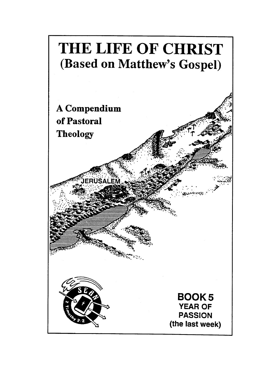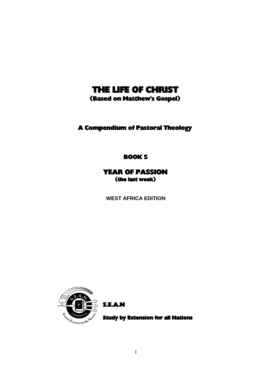## THE LIFE OF CHRIST

(Based on Matthew's Gospel)

A Compendium of Pastoral Theology

BOOK 5

YEAR OF PASSION (the last week)

**WEST AFRICA EDITION**



S.E.A.N

Study by Extension for all Nations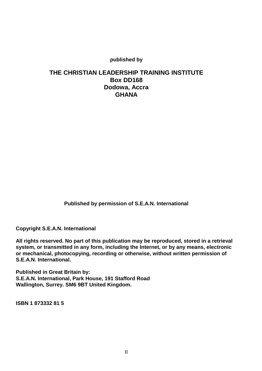**published by**

## **THE CHRISTIAN LEADERSHIP TRAINING INSTITUTE Box DD168 Dodowa, Accra GHANA**

**Published by permission of S.E.A.N. International**

**Copyright S.E.A.N. International**

**All rights reserved. No part of this publication may be reproduced, stored in a retrieval system, or transmitted in any form, including the Internet, or by any means, electronic or mechanical, photocopying, recording or otherwise, without written permission of S.E.A.N. International.**

**Published in Great Britain by: S.E.A.N. International, Park House, 191 Stafford Road Wallington, Surrey. SM6 9BT United Kingdom.**

**ISBN 1 873332 81 5**